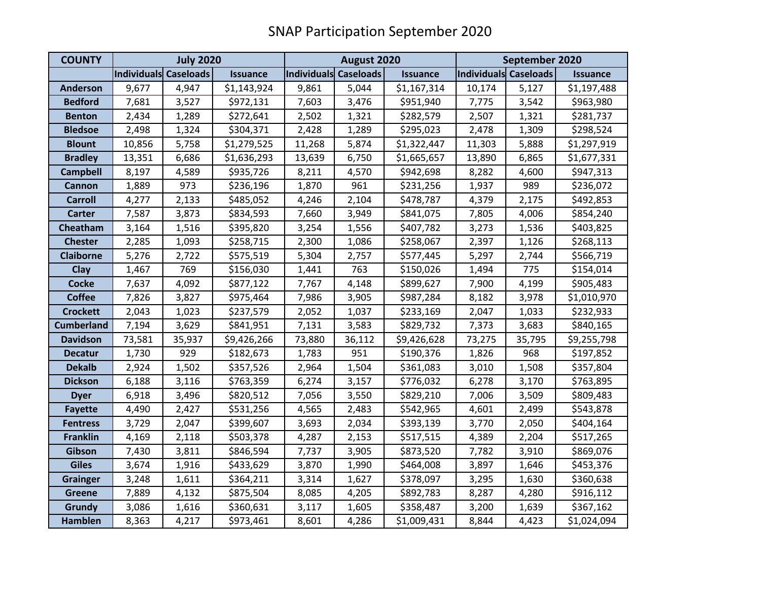| <b>COUNTY</b>     | <b>July 2020</b>      |        |                 | August 2020           |        |                 | September 2020        |        |                 |
|-------------------|-----------------------|--------|-----------------|-----------------------|--------|-----------------|-----------------------|--------|-----------------|
|                   | Individuals Caseloads |        | <b>Issuance</b> | Individuals Caseloads |        | <b>Issuance</b> | Individuals Caseloads |        | <b>Issuance</b> |
| <b>Anderson</b>   | 9,677                 | 4,947  | \$1,143,924     | 9,861                 | 5,044  | \$1,167,314     | 10,174                | 5,127  | \$1,197,488     |
| <b>Bedford</b>    | 7,681                 | 3,527  | \$972,131       | 7,603                 | 3,476  | \$951,940       | 7,775                 | 3,542  | \$963,980       |
| <b>Benton</b>     | 2,434                 | 1,289  | \$272,641       | 2,502                 | 1,321  | \$282,579       | 2,507                 | 1,321  | \$281,737       |
| <b>Bledsoe</b>    | 2,498                 | 1,324  | \$304,371       | 2,428                 | 1,289  | \$295,023       | 2,478                 | 1,309  | \$298,524       |
| <b>Blount</b>     | 10,856                | 5,758  | \$1,279,525     | 11,268                | 5,874  | \$1,322,447     | 11,303                | 5,888  | \$1,297,919     |
| <b>Bradley</b>    | 13,351                | 6,686  | \$1,636,293     | 13,639                | 6,750  | \$1,665,657     | 13,890                | 6,865  | \$1,677,331     |
| <b>Campbell</b>   | 8,197                 | 4,589  | \$935,726       | 8,211                 | 4,570  | \$942,698       | 8,282                 | 4,600  | \$947,313       |
| <b>Cannon</b>     | 1,889                 | 973    | \$236,196       | 1,870                 | 961    | \$231,256       | 1,937                 | 989    | \$236,072       |
| <b>Carroll</b>    | 4,277                 | 2,133  | \$485,052       | 4,246                 | 2,104  | \$478,787       | 4,379                 | 2,175  | \$492,853       |
| <b>Carter</b>     | 7,587                 | 3,873  | \$834,593       | 7,660                 | 3,949  | \$841,075       | 7,805                 | 4,006  | \$854,240       |
| Cheatham          | 3,164                 | 1,516  | \$395,820       | 3,254                 | 1,556  | \$407,782       | 3,273                 | 1,536  | \$403,825       |
| <b>Chester</b>    | 2,285                 | 1,093  | \$258,715       | 2,300                 | 1,086  | \$258,067       | 2,397                 | 1,126  | \$268,113       |
| <b>Claiborne</b>  | 5,276                 | 2,722  | \$575,519       | 5,304                 | 2,757  | \$577,445       | 5,297                 | 2,744  | \$566,719       |
| Clay              | 1,467                 | 769    | \$156,030       | 1,441                 | 763    | \$150,026       | 1,494                 | 775    | \$154,014       |
| <b>Cocke</b>      | 7,637                 | 4,092  | \$877,122       | 7,767                 | 4,148  | \$899,627       | 7,900                 | 4,199  | \$905,483       |
| <b>Coffee</b>     | 7,826                 | 3,827  | \$975,464       | 7,986                 | 3,905  | \$987,284       | 8,182                 | 3,978  | \$1,010,970     |
| <b>Crockett</b>   | 2,043                 | 1,023  | \$237,579       | 2,052                 | 1,037  | \$233,169       | 2,047                 | 1,033  | \$232,933       |
| <b>Cumberland</b> | 7,194                 | 3,629  | \$841,951       | 7,131                 | 3,583  | \$829,732       | 7,373                 | 3,683  | \$840,165       |
| <b>Davidson</b>   | 73,581                | 35,937 | \$9,426,266     | 73,880                | 36,112 | \$9,426,628     | 73,275                | 35,795 | \$9,255,798     |
| <b>Decatur</b>    | 1,730                 | 929    | \$182,673       | 1,783                 | 951    | \$190,376       | 1,826                 | 968    | \$197,852       |
| <b>Dekalb</b>     | 2,924                 | 1,502  | \$357,526       | 2,964                 | 1,504  | \$361,083       | 3,010                 | 1,508  | \$357,804       |
| <b>Dickson</b>    | 6,188                 | 3,116  | \$763,359       | 6,274                 | 3,157  | \$776,032       | 6,278                 | 3,170  | \$763,895       |
| <b>Dyer</b>       | 6,918                 | 3,496  | \$820,512       | 7,056                 | 3,550  | \$829,210       | 7,006                 | 3,509  | \$809,483       |
| <b>Fayette</b>    | 4,490                 | 2,427  | \$531,256       | 4,565                 | 2,483  | \$542,965       | 4,601                 | 2,499  | \$543,878       |
| <b>Fentress</b>   | 3,729                 | 2,047  | \$399,607       | 3,693                 | 2,034  | \$393,139       | 3,770                 | 2,050  | \$404,164       |
| <b>Franklin</b>   | 4,169                 | 2,118  | \$503,378       | 4,287                 | 2,153  | \$517,515       | 4,389                 | 2,204  | \$517,265       |
| Gibson            | 7,430                 | 3,811  | \$846,594       | 7,737                 | 3,905  | \$873,520       | 7,782                 | 3,910  | \$869,076       |
| <b>Giles</b>      | 3,674                 | 1,916  | \$433,629       | 3,870                 | 1,990  | \$464,008       | 3,897                 | 1,646  | \$453,376       |
| <b>Grainger</b>   | 3,248                 | 1,611  | \$364,211       | 3,314                 | 1,627  | \$378,097       | 3,295                 | 1,630  | \$360,638       |
| <b>Greene</b>     | 7,889                 | 4,132  | \$875,504       | 8,085                 | 4,205  | \$892,783       | 8,287                 | 4,280  | \$916,112       |
| <b>Grundy</b>     | 3,086                 | 1,616  | \$360,631       | 3,117                 | 1,605  | \$358,487       | 3,200                 | 1,639  | \$367,162       |
| <b>Hamblen</b>    | 8,363                 | 4,217  | \$973,461       | 8,601                 | 4,286  | \$1,009,431     | 8,844                 | 4,423  | \$1,024,094     |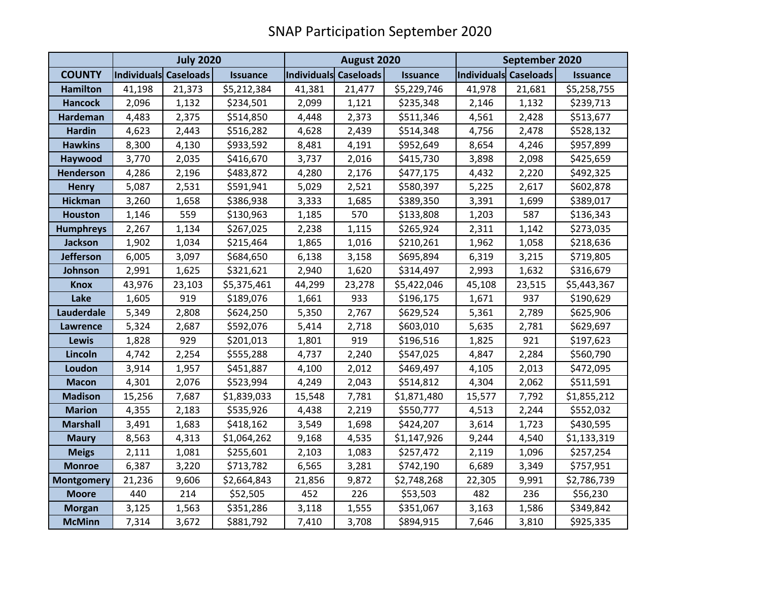|                   | <b>July 2020</b>      |        |                 | August 2020           |        |                 | September 2020        |        |                 |
|-------------------|-----------------------|--------|-----------------|-----------------------|--------|-----------------|-----------------------|--------|-----------------|
| <b>COUNTY</b>     | Individuals Caseloads |        | <b>Issuance</b> | Individuals Caseloads |        | <b>Issuance</b> | Individuals Caseloads |        | <b>Issuance</b> |
| <b>Hamilton</b>   | 41,198                | 21,373 | \$5,212,384     | 41,381                | 21,477 | \$5,229,746     | 41,978                | 21,681 | \$5,258,755     |
| <b>Hancock</b>    | 2,096                 | 1,132  | \$234,501       | 2,099                 | 1,121  | \$235,348       | 2,146                 | 1,132  | \$239,713       |
| <b>Hardeman</b>   | 4,483                 | 2,375  | \$514,850       | 4,448                 | 2,373  | \$511,346       | 4,561                 | 2,428  | \$513,677       |
| <b>Hardin</b>     | 4,623                 | 2,443  | \$516,282       | 4,628                 | 2,439  | \$514,348       | 4,756                 | 2,478  | \$528,132       |
| <b>Hawkins</b>    | 8,300                 | 4,130  | \$933,592       | 8,481                 | 4,191  | \$952,649       | 8,654                 | 4,246  | \$957,899       |
| Haywood           | 3,770                 | 2,035  | \$416,670       | 3,737                 | 2,016  | \$415,730       | 3,898                 | 2,098  | \$425,659       |
| <b>Henderson</b>  | 4,286                 | 2,196  | \$483,872       | 4,280                 | 2,176  | \$477,175       | 4,432                 | 2,220  | \$492,325       |
| <b>Henry</b>      | 5,087                 | 2,531  | \$591,941       | 5,029                 | 2,521  | \$580,397       | 5,225                 | 2,617  | \$602,878       |
| <b>Hickman</b>    | 3,260                 | 1,658  | \$386,938       | 3,333                 | 1,685  | \$389,350       | 3,391                 | 1,699  | \$389,017       |
| <b>Houston</b>    | 1,146                 | 559    | \$130,963       | 1,185                 | 570    | \$133,808       | 1,203                 | 587    | \$136,343       |
| <b>Humphreys</b>  | 2,267                 | 1,134  | \$267,025       | 2,238                 | 1,115  | \$265,924       | 2,311                 | 1,142  | \$273,035       |
| <b>Jackson</b>    | 1,902                 | 1,034  | \$215,464       | 1,865                 | 1,016  | \$210,261       | 1,962                 | 1,058  | \$218,636       |
| <b>Jefferson</b>  | 6,005                 | 3,097  | \$684,650       | 6,138                 | 3,158  | \$695,894       | 6,319                 | 3,215  | \$719,805       |
| Johnson           | 2,991                 | 1,625  | \$321,621       | 2,940                 | 1,620  | \$314,497       | 2,993                 | 1,632  | \$316,679       |
| <b>Knox</b>       | 43,976                | 23,103 | \$5,375,461     | 44,299                | 23,278 | \$5,422,046     | 45,108                | 23,515 | \$5,443,367     |
| Lake              | 1,605                 | 919    | \$189,076       | 1,661                 | 933    | \$196,175       | 1,671                 | 937    | \$190,629       |
| Lauderdale        | 5,349                 | 2,808  | \$624,250       | 5,350                 | 2,767  | \$629,524       | 5,361                 | 2,789  | \$625,906       |
| <b>Lawrence</b>   | 5,324                 | 2,687  | \$592,076       | 5,414                 | 2,718  | \$603,010       | 5,635                 | 2,781  | \$629,697       |
| Lewis             | 1,828                 | 929    | \$201,013       | 1,801                 | 919    | \$196,516       | 1,825                 | 921    | \$197,623       |
| Lincoln           | 4,742                 | 2,254  | \$555,288       | 4,737                 | 2,240  | \$547,025       | 4,847                 | 2,284  | \$560,790       |
| Loudon            | 3,914                 | 1,957  | \$451,887       | 4,100                 | 2,012  | \$469,497       | 4,105                 | 2,013  | \$472,095       |
| <b>Macon</b>      | 4,301                 | 2,076  | \$523,994       | 4,249                 | 2,043  | \$514,812       | 4,304                 | 2,062  | \$511,591       |
| <b>Madison</b>    | 15,256                | 7,687  | \$1,839,033     | 15,548                | 7,781  | \$1,871,480     | 15,577                | 7,792  | \$1,855,212     |
| <b>Marion</b>     | 4,355                 | 2,183  | \$535,926       | 4,438                 | 2,219  | \$550,777       | 4,513                 | 2,244  | \$552,032       |
| <b>Marshall</b>   | 3,491                 | 1,683  | \$418,162       | 3,549                 | 1,698  | \$424,207       | 3,614                 | 1,723  | \$430,595       |
| <b>Maury</b>      | 8,563                 | 4,313  | \$1,064,262     | 9,168                 | 4,535  | \$1,147,926     | 9,244                 | 4,540  | \$1,133,319     |
| <b>Meigs</b>      | 2,111                 | 1,081  | \$255,601       | 2,103                 | 1,083  | \$257,472       | 2,119                 | 1,096  | \$257,254       |
| <b>Monroe</b>     | 6,387                 | 3,220  | \$713,782       | 6,565                 | 3,281  | \$742,190       | 6,689                 | 3,349  | \$757,951       |
| <b>Montgomery</b> | 21,236                | 9,606  | \$2,664,843     | 21,856                | 9,872  | \$2,748,268     | 22,305                | 9,991  | \$2,786,739     |
| <b>Moore</b>      | 440                   | 214    | \$52,505        | 452                   | 226    | \$53,503        | 482                   | 236    | \$56,230        |
| <b>Morgan</b>     | 3,125                 | 1,563  | \$351,286       | 3,118                 | 1,555  | \$351,067       | 3,163                 | 1,586  | \$349,842       |
| <b>McMinn</b>     | 7,314                 | 3,672  | \$881,792       | 7,410                 | 3,708  | \$894,915       | 7,646                 | 3,810  | \$925,335       |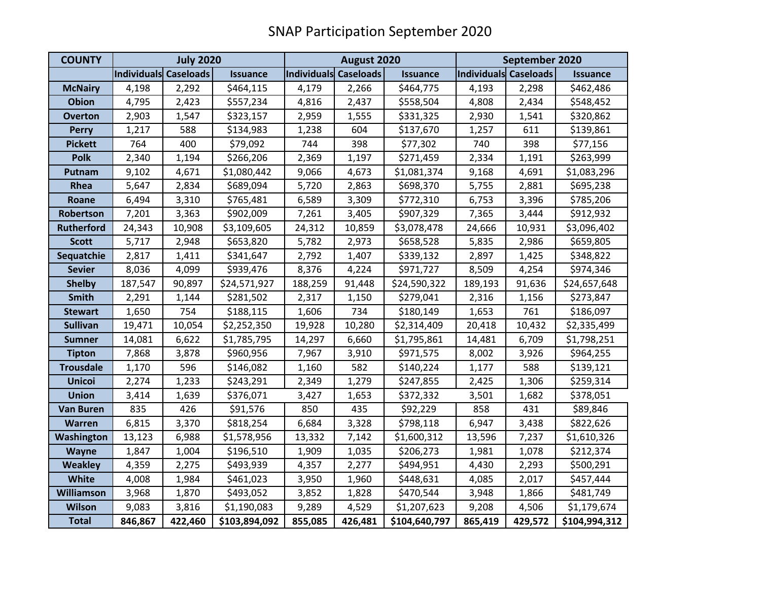| <b>COUNTY</b>     | <b>July 2020</b>      |         |                 | August 2020           |         |                 | September 2020        |         |                 |
|-------------------|-----------------------|---------|-----------------|-----------------------|---------|-----------------|-----------------------|---------|-----------------|
|                   | Individuals Caseloads |         | <b>Issuance</b> | Individuals Caseloads |         | <b>Issuance</b> | Individuals Caseloads |         | <b>Issuance</b> |
| <b>McNairy</b>    | 4,198                 | 2,292   | \$464,115       | 4,179                 | 2,266   | \$464,775       | 4,193                 | 2,298   | \$462,486       |
| <b>Obion</b>      | 4,795                 | 2,423   | \$557,234       | 4,816                 | 2,437   | \$558,504       | 4,808                 | 2,434   | \$548,452       |
| <b>Overton</b>    | 2,903                 | 1,547   | \$323,157       | 2,959                 | 1,555   | \$331,325       | 2,930                 | 1,541   | \$320,862       |
| <b>Perry</b>      | 1,217                 | 588     | \$134,983       | 1,238                 | 604     | \$137,670       | 1,257                 | 611     | \$139,861       |
| <b>Pickett</b>    | 764                   | 400     | \$79,092        | 744                   | 398     | \$77,302        | 740                   | 398     | \$77,156        |
| <b>Polk</b>       | 2,340                 | 1,194   | \$266,206       | 2,369                 | 1,197   | \$271,459       | 2,334                 | 1,191   | \$263,999       |
| Putnam            | 9,102                 | 4,671   | \$1,080,442     | 9,066                 | 4,673   | \$1,081,374     | 9,168                 | 4,691   | \$1,083,296     |
| Rhea              | 5,647                 | 2,834   | \$689,094       | 5,720                 | 2,863   | \$698,370       | 5,755                 | 2,881   | \$695,238       |
| Roane             | 6,494                 | 3,310   | \$765,481       | 6,589                 | 3,309   | \$772,310       | 6,753                 | 3,396   | \$785,206       |
| Robertson         | 7,201                 | 3,363   | \$902,009       | 7,261                 | 3,405   | \$907,329       | 7,365                 | 3,444   | \$912,932       |
| <b>Rutherford</b> | 24,343                | 10,908  | \$3,109,605     | 24,312                | 10,859  | \$3,078,478     | 24,666                | 10,931  | \$3,096,402     |
| <b>Scott</b>      | 5,717                 | 2,948   | \$653,820       | 5,782                 | 2,973   | \$658,528       | 5,835                 | 2,986   | \$659,805       |
| Sequatchie        | 2,817                 | 1,411   | \$341,647       | 2,792                 | 1,407   | \$339,132       | 2,897                 | 1,425   | \$348,822       |
| <b>Sevier</b>     | 8,036                 | 4,099   | \$939,476       | 8,376                 | 4,224   | \$971,727       | 8,509                 | 4,254   | \$974,346       |
| <b>Shelby</b>     | 187,547               | 90,897  | \$24,571,927    | 188,259               | 91,448  | \$24,590,322    | 189,193               | 91,636  | \$24,657,648    |
| <b>Smith</b>      | 2,291                 | 1,144   | \$281,502       | 2,317                 | 1,150   | \$279,041       | 2,316                 | 1,156   | \$273,847       |
| <b>Stewart</b>    | 1,650                 | 754     | \$188,115       | 1,606                 | 734     | \$180,149       | 1,653                 | 761     | \$186,097       |
| <b>Sullivan</b>   | 19,471                | 10,054  | \$2,252,350     | 19,928                | 10,280  | \$2,314,409     | 20,418                | 10,432  | \$2,335,499     |
| <b>Sumner</b>     | 14,081                | 6,622   | \$1,785,795     | 14,297                | 6,660   | \$1,795,861     | 14,481                | 6,709   | \$1,798,251     |
| <b>Tipton</b>     | 7,868                 | 3,878   | \$960,956       | 7,967                 | 3,910   | \$971,575       | 8,002                 | 3,926   | \$964,255       |
| <b>Trousdale</b>  | 1,170                 | 596     | \$146,082       | 1,160                 | 582     | \$140,224       | 1,177                 | 588     | \$139,121       |
| <b>Unicoi</b>     | 2,274                 | 1,233   | \$243,291       | 2,349                 | 1,279   | \$247,855       | 2,425                 | 1,306   | \$259,314       |
| <b>Union</b>      | 3,414                 | 1,639   | \$376,071       | 3,427                 | 1,653   | \$372,332       | 3,501                 | 1,682   | \$378,051       |
| <b>Van Buren</b>  | 835                   | 426     | \$91,576        | 850                   | 435     | \$92,229        | 858                   | 431     | \$89,846        |
| Warren            | 6,815                 | 3,370   | \$818,254       | 6,684                 | 3,328   | \$798,118       | 6,947                 | 3,438   | \$822,626       |
| Washington        | 13,123                | 6,988   | \$1,578,956     | 13,332                | 7,142   | \$1,600,312     | 13,596                | 7,237   | \$1,610,326     |
| <b>Wayne</b>      | 1,847                 | 1,004   | \$196,510       | 1,909                 | 1,035   | \$206,273       | 1,981                 | 1,078   | \$212,374       |
| <b>Weakley</b>    | 4,359                 | 2,275   | \$493,939       | 4,357                 | 2,277   | \$494,951       | 4,430                 | 2,293   | \$500,291       |
| <b>White</b>      | 4,008                 | 1,984   | \$461,023       | 3,950                 | 1,960   | \$448,631       | 4,085                 | 2,017   | \$457,444       |
| <b>Williamson</b> | 3,968                 | 1,870   | \$493,052       | 3,852                 | 1,828   | \$470,544       | 3,948                 | 1,866   | \$481,749       |
| <b>Wilson</b>     | 9,083                 | 3,816   | \$1,190,083     | 9,289                 | 4,529   | \$1,207,623     | 9,208                 | 4,506   | \$1,179,674     |
| <b>Total</b>      | 846,867               | 422,460 | \$103,894,092   | 855,085               | 426,481 | \$104,640,797   | 865,419               | 429,572 | \$104,994,312   |